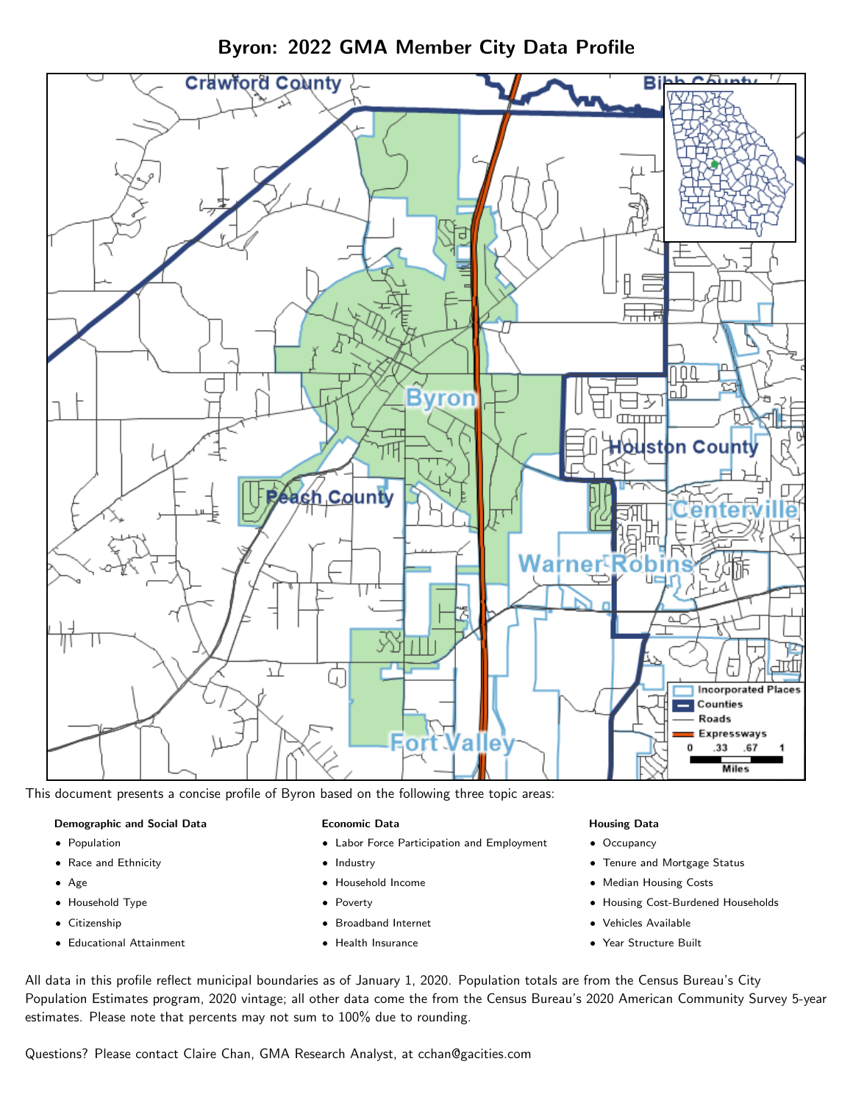

Byron: 2022 GMA Member City Data Profile

This document presents a concise profile of Byron based on the following three topic areas:

#### Demographic and Social Data

- **•** Population
- Race and Ethnicity
- Age
- Household Type
- **Citizenship**
- Educational Attainment

### Economic Data

- Labor Force Participation and Employment
- Industry
- Household Income
- Poverty
- Broadband Internet
- Health Insurance

### Housing Data

- Occupancy
- Tenure and Mortgage Status
- Median Housing Costs
- Housing Cost-Burdened Households
- Vehicles Available
- Year Structure Built

All data in this profile reflect municipal boundaries as of January 1, 2020. Population totals are from the Census Bureau's City Population Estimates program, 2020 vintage; all other data come the from the Census Bureau's 2020 American Community Survey 5-year estimates. Please note that percents may not sum to 100% due to rounding.

Questions? Please contact Claire Chan, GMA Research Analyst, at [cchan@gacities.com.](mailto:cchan@gacities.com)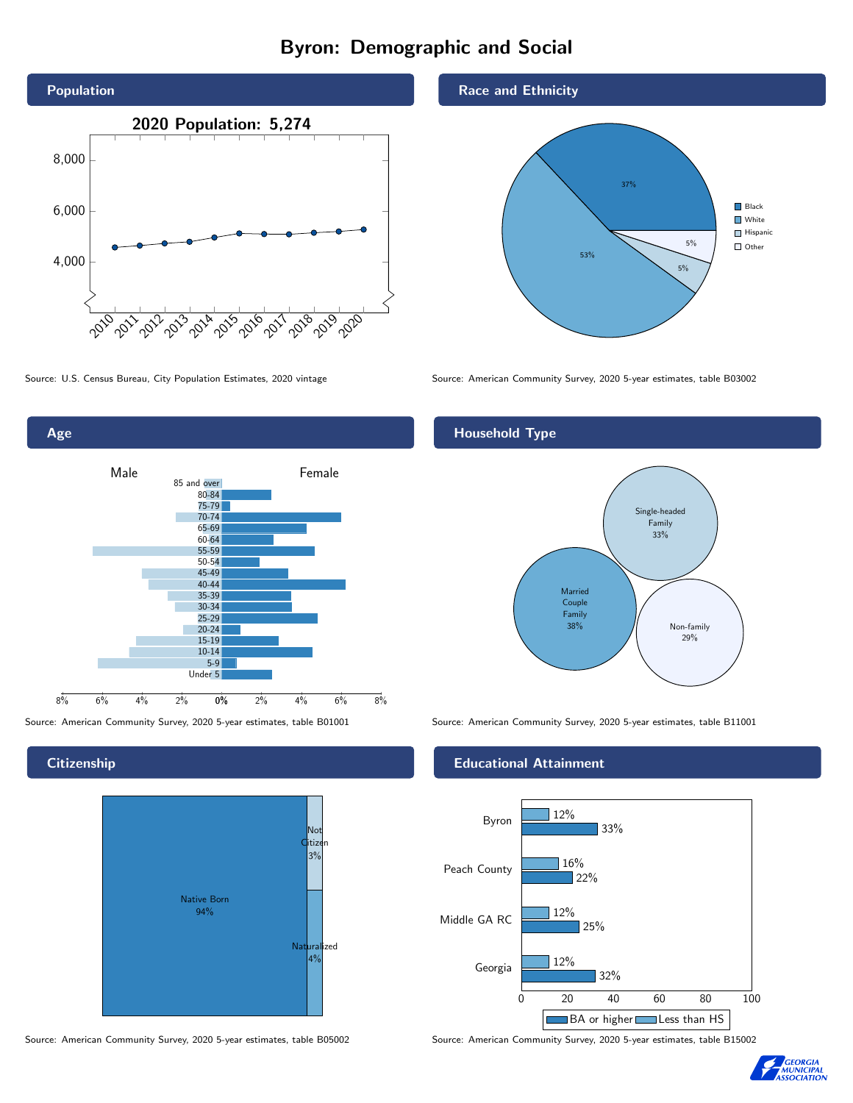# Byron: Demographic and Social



Age 0% 2% 4% 6% 8% Male **Female** 8% 6% 4% 2% 85 and over 80-84 75-79 70-74 65-69 60-64 55-59 50-54 45-49 40-44 35-39 30-34 25-29 20-24 15-19  $10-14$ 5-9 Under 5

**Citizenship** 



Source: American Community Survey, 2020 5-year estimates, table B05002 Source: American Community Survey, 2020 5-year estimates, table B15002

### Race and Ethnicity



Source: U.S. Census Bureau, City Population Estimates, 2020 vintage Source: American Community Survey, 2020 5-year estimates, table B03002

## Household Type



Source: American Community Survey, 2020 5-year estimates, table B01001 Source: American Community Survey, 2020 5-year estimates, table B11001

#### Educational Attainment



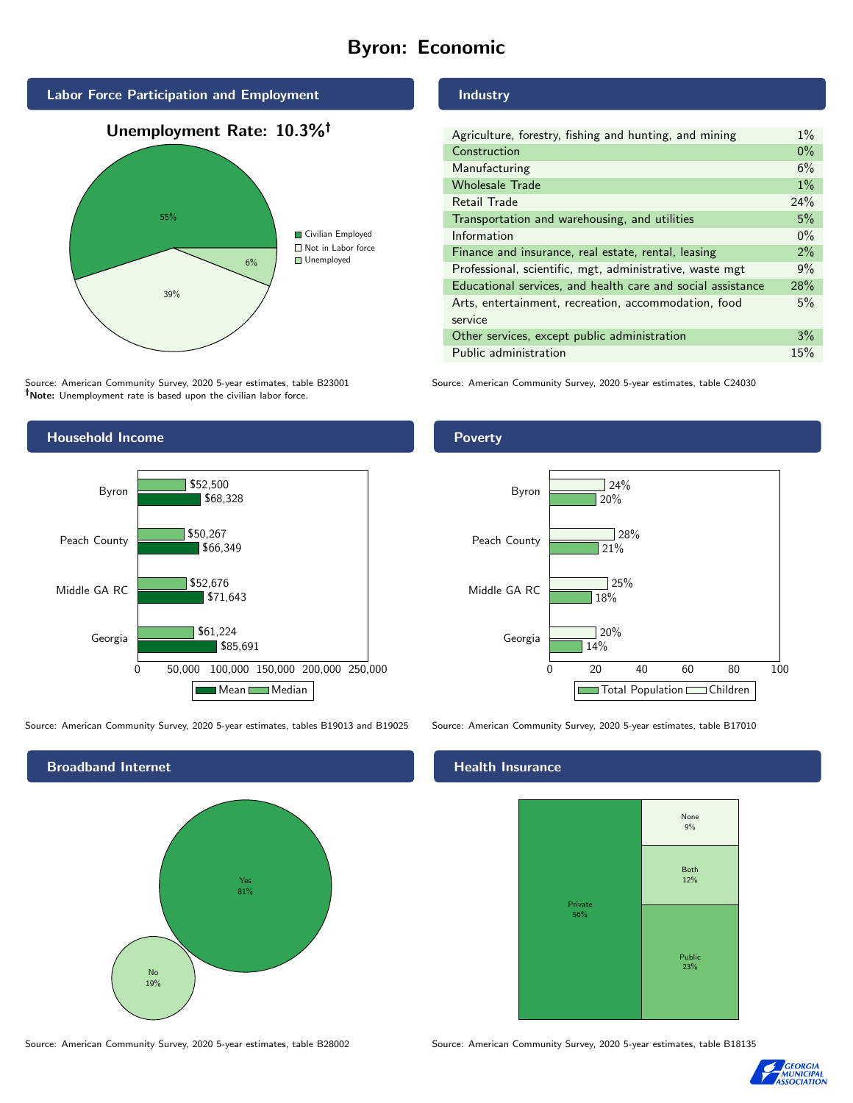# Byron: Economic





Source: American Community Survey, 2020 5-year estimates, table B23001 Note: Unemployment rate is based upon the civilian labor force.



0 50,000 100,000 150,000 200,000 250,000

Mean Median

\$85,691

\$71,643

\$52,676

\$61,224

#### Industry

| Agriculture, forestry, fishing and hunting, and mining      | $1\%$ |
|-------------------------------------------------------------|-------|
| Construction                                                | $0\%$ |
| Manufacturing                                               | 6%    |
| <b>Wholesale Trade</b>                                      | $1\%$ |
| Retail Trade                                                | 24%   |
| Transportation and warehousing, and utilities               | 5%    |
| Information                                                 | $0\%$ |
| Finance and insurance, real estate, rental, leasing         | 2%    |
| Professional, scientific, mgt, administrative, waste mgt    | 9%    |
| Educational services, and health care and social assistance | 28%   |
| Arts, entertainment, recreation, accommodation, food        | 5%    |
| service                                                     |       |
| Other services, except public administration                | 3%    |
| Public administration                                       | 15%   |

Source: American Community Survey, 2020 5-year estimates, table C24030



Source: American Community Survey, 2020 5-year estimates, tables B19013 and B19025 Source: American Community Survey, 2020 5-year estimates, table B17010

Georgia

Middle GA RC



#### Health Insurance



Source: American Community Survey, 2020 5-year estimates, table B28002 Source: American Community Survey, 2020 5-year estimates, table B18135